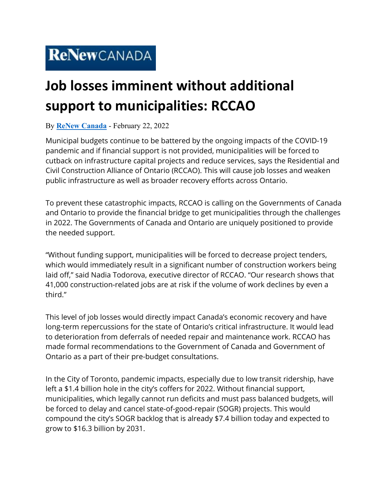## **Job losses imminent without additional support to municipalities: RCCAO**

## By **[ReNew Canada](https://www.renewcanada.net/5000090757-2/)** - February 22, 2022

Municipal budgets continue to be battered by the ongoing impacts of the COVID-19 pandemic and if financial support is not provided, municipalities will be forced to cutback on infrastructure capital projects and reduce services, says the Residential and Civil Construction Alliance of Ontario (RCCAO). This will cause job losses and weaken public infrastructure as well as broader recovery efforts across Ontario.

To prevent these catastrophic impacts, RCCAO is calling on the Governments of Canada and Ontario to provide the financial bridge to get municipalities through the challenges in 2022. The Governments of Canada and Ontario are uniquely positioned to provide the needed support.

"Without funding support, municipalities will be forced to decrease project tenders, which would immediately result in a significant number of construction workers being laid off," said Nadia Todorova, executive director of RCCAO. "Our research shows that 41,000 construction-related jobs are at risk if the volume of work declines by even a third."

This level of job losses would directly impact Canada's economic recovery and have long-term repercussions for the state of Ontario's critical infrastructure. It would lead to deterioration from deferrals of needed repair and maintenance work. RCCAO has made formal recommendations to the Government of Canada and Government of Ontario as a part of their pre-budget consultations.

In the City of Toronto, pandemic impacts, especially due to low transit ridership, have left a \$1.4 billion hole in the city's coffers for 2022. Without financial support, municipalities, which legally cannot run deficits and must pass balanced budgets, will be forced to delay and cancel state-of-good-repair (SOGR) projects. This would compound the city's SOGR backlog that is already \$7.4 billion today and expected to grow to \$16.3 billion by 2031.